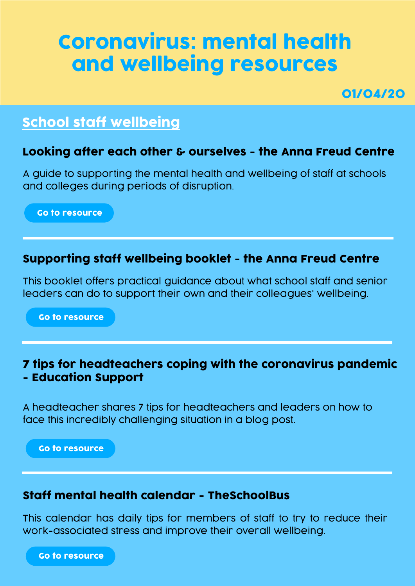# Coronavirus: mental health and wellbeing resources

01/04/20

## School staff wellbeing

## Looking after each other & ourselves - the Anna Freud Centre

A guide to supporting the mental health and wellbeing of staff at schools and colleges during periods of disruption.

[Go to resource](https://www.annafreud.org/media/11242/looking-after-each-other-ourselves-final.pdf)

## Supporting staff wellbeing booklet - the Anna Freud Centre

This booklet offers practical guidance about what school staff and senior leaders can do to support their own and their colleagues' wellbeing.

[Go to resource](https://www.annafreud.org/media/7653/3rdanna-freud-booklet-staff-wellbeing-web-pdf-21-june.pdf)

#### 7 tips for headteachers coping with the coronavirus pandemic - Education Support

A headteacher shares 7 tips for headteachers and leaders on how to face this incredibly challenging situation in a blog post.

[Go to resource](https://www.educationsupport.org.uk/blogs/7-tips-headteachers-coping-coronavirus-pandemic)

#### Staff mental health calendar - TheSchoolBus

This calendar has daily tips for members of staff to try to reduce their work-associated stress and improve their overall wellbeing.

[Go to resource](https://hub4leaders.co.uk/learning-hub/resources/staff-mental-health-calendar/staff-mental-health-calendar/)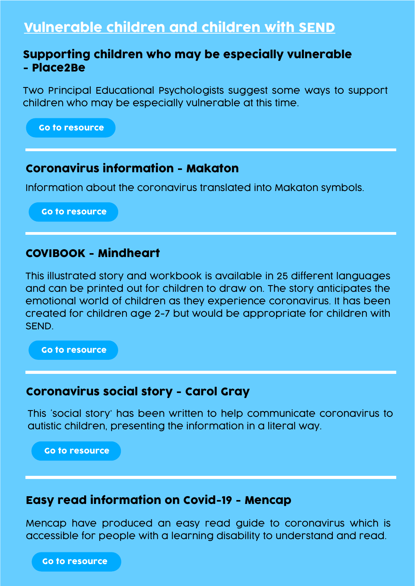## Vulnerable children and children with SEND

#### Supporting children who may be especially vulnerable - Place2Be

Two Principal Educational Psychologists suggest some ways to support children who may be especially vulnerable at this time.

[Go to resource](https://www.place2be.org.uk/about-us/news-and-blogs/2020/march/coronavirus-supporting-children-who-may-be-especially-vulnerable/)

#### Coronavirus information - Makaton

Information about the coronavirus translated into Makaton symbols.

[Go to resource](https://www.makaton.org/Assets/Store/FreeResources/CoronavirusInfo.pdf)

## COVIBOOK - Mindheart

This illustrated story and workbook is available in 25 different languages and can be printed out for children to draw on. The story anticipates the emotional world of children as they experience coronavirus. It has been created for children age 2-7 but would be appropriate for children with SEND.

[Go to resource](https://www.mindheart.co/descargables)

#### Coronavirus social story - Carol Gray

This 'social story' has been written to help communicate coronavirus to autistic children, presenting the information in a literal way.

[Go to resource](https://carolgraysocialstories.com/wp-content/uploads/2020/03/Pandemics-and-the-Coronavirus.pdf)

#### Easy read information on Covid-19 - Mencap

Mencap have produced an easy read guide to coronavirus which is accessible for people with a learning disability to understand and read.

[Go to resource](https://www.mencap.org.uk/sites/default/files/2020-03/Info about covid19 26th March.pdf)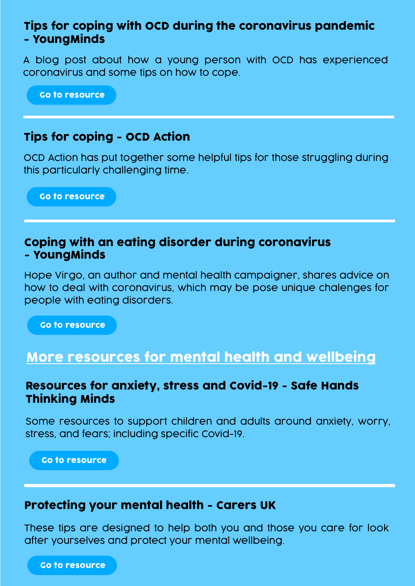### Tips for coping with OCD during the coronavirus pandemic - YoungMinds

A blog post about how a young person with OCD has experienced coronavirus and some tips on how to cope.

[Go to resource](https://youngminds.org.uk/blog/tips-for-coping-with-ocd-during-the-coronavirus-pandemic/)

## Tips for coping - OCD Action

OCD Action has put together some helpful tips for those struggling during this particularly challenging time.

[Go to resource](https://ocdaction.org.uk/articles/covid-19)

#### Coping with an eating disorder during coronavirus - YoungMinds

Hope Virgo, an author and mental health campaigner, shares advice on how to deal with coronavirus, which may be pose unique chalenges for people with eating disorders.

[Go to resource](https://youngminds.org.uk/blog/coping-with-an-eating-disorder-during-the-coronavirus-pandemic/)

## More resources for mental health and wellbeing

#### Resources for anxiety, stress and Covid-19 - Safe Hands Thinking Minds

Some resources to support children and adults around anxiety, worry, stress, and fears; including specific Covid-19.

[Go to resource](http://www.safehandsthinkingminds.co.uk/covid-anxiety-stress-resources-links/)

#### Protecting your mental health - Carers UK

These tips are designed to help both you and those you care for look after yourselves and protect your mental wellbeing.

[Go to resource](https://www.carersuk.org/help-and-advice/health/looking-after-your-health/coronavirus-covid-19/coronavirus-mental-wellbeing)